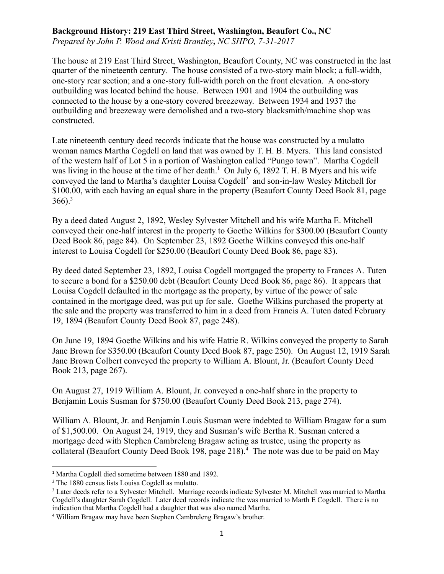## **Background History: 219 East Third Street, Washington, Beaufort Co., NC**

*Prepared by John P. Wood and Kristi Brantley , NC SHPO, 7-31-2017* 

The house at 219 East Third Street, Washington, Beaufort County, NC was constructed in the last quarter of the nineteenth century. The house consisted of a two-story main block; a full-width, one-story rear section; and a one-story full-width porch on the front elevation. A one-story outbuilding was located behind the house. Between 1901 and 1904 the outbuilding was connected to the house by a one-story covered breezeway. Between 1934 and 1937 the outbuilding and breezeway were demolished and a two-story blacksmith/machine shop was constructed.

Late nineteenth century deed records indicate that the house was constructed by a mulatto woman names Martha Cogdell on land that was owned by T. H. B. Myers. This land consisted of the western half of Lot 5 in a portion of Washington called "Pungo town". Martha Cogdell was living in the house at the time of her death.<sup>1</sup> On July 6, 1892 T. H. B Myers and his wife conveyed the land to Martha's daughter Louisa Cogdell<sup>2</sup> and son-in-law Wesley Mitchell for \$100.00, with each having an equal share in the property (Beaufort County Deed Book 81, page  $366$ ).<sup>3</sup>

By a deed dated August 2, 1892, Wesley Sylvester Mitchell and his wife Martha E. Mitchell conveyed their one-half interest in the property to Goethe Wilkins for \$300.00 (Beaufort County Deed Book 86, page 84). On September 23, 1892 Goethe Wilkins conveyed this one-half interest to Louisa Cogdell for \$250.00 (Beaufort County Deed Book 86, page 83).

By deed dated September 23, 1892, Louisa Cogdell mortgaged the property to Frances A. Tuten to secure a bond for a \$250.00 debt (Beaufort County Deed Book 86, page 86). It appears that Louisa Cogdell defaulted in the mortgage as the property, by virtue of the power of sale contained in the mortgage deed, was put up for sale. Goethe Wilkins purchased the property at the sale and the property was transferred to him in a deed from Francis A. Tuten dated February 19, 1894 (Beaufort County Deed Book 87, page 248).

On June 19, 1894 Goethe Wilkins and his wife Hattie R. Wilkins conveyed the property to Sarah Jane Brown for \$350.00 (Beaufort County Deed Book 87, page 250). On August 12, 1919 Sarah Jane Brown Colbert conveyed the property to William A. Blount, Jr. (Beaufort County Deed Book 213, page 267).

On August 27, 1919 William A. Blount, Jr. conveyed a one-half share in the property to Benjamin Louis Susman for \$750.00 (Beaufort County Deed Book 213, page 274).

William A. Blount, Jr. and Benjamin Louis Susman were indebted to William Bragaw for a sum of \$1,500.00. On August 24, 1919, they and Susman's wife Bertha R. Susman entered a mortgage deed with Stephen Cambreleng Bragaw acting as trustee, using the property as collateral (Beaufort County Deed Book 198, page 218).<sup>4</sup> The note was due to be paid on May

<sup>1</sup> Martha Cogdell died sometime between 1880 and 1892.

<sup>2</sup> The 1880 census lists Louisa Cogdell as mulatto.

<sup>&</sup>lt;sup>3</sup> Later deeds refer to a Sylvester Mitchell. Marriage records indicate Sylvester M. Mitchell was married to Martha Cogdell's daughter Sarah Cogdell. Later deed records indicate the was married to Marth E Cogdell. There is no indication that Martha Cogdell had a daughter that was also named Martha.

<sup>4</sup> William Bragaw may have been Stephen Cambreleng Bragaw's brother.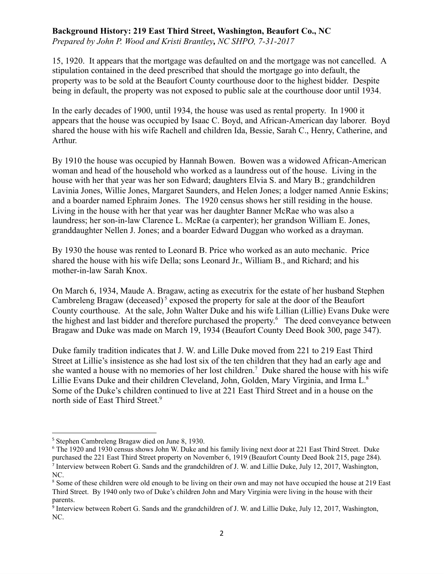## **Background History: 219 East Third Street, Washington, Beaufort Co., NC**

*Prepared by John P. Wood and Kristi Brantley , NC SHPO, 7-31-2017* 

15, 1920. It appears that the mortgage was defaulted on and the mortgage was not cancelled. A stipulation contained in the deed prescribed that should the mortgage go into default, the property was to be sold at the Beaufort County courthouse door to the highest bidder. Despite being in default, the property was not exposed to public sale at the courthouse door until 1934.

In the early decades of 1900, until 1934, the house was used as rental property. In 1900 it appears that the house was occupied by Isaac C. Boyd, and African-American day laborer. Boyd shared the house with his wife Rachell and children Ida, Bessie, Sarah C., Henry, Catherine, and Arthur.

By 1910 the house was occupied by Hannah Bowen. Bowen was a widowed African-American woman and head of the household who worked as a laundress out of the house. Living in the house with her that year was her son Edward; daughters Elvia S. and Mary B.; grandchildren Lavinia Jones, Willie Jones, Margaret Saunders, and Helen Jones; a lodger named Annie Eskins; and a boarder named Ephraim Jones. The 1920 census shows her still residing in the house. Living in the house with her that year was her daughter Banner McRae who was also a laundress; her son-in-law Clarence L. McRae (a carpenter); her grandson William E. Jones, granddaughter Nellen J. Jones; and a boarder Edward Duggan who worked as a drayman.

By 1930 the house was rented to Leonard B. Price who worked as an auto mechanic. Price shared the house with his wife Della; sons Leonard Jr., William B., and Richard; and his mother-in-law Sarah Knox.

On March 6, 1934, Maude A. Bragaw, acting as executrix for the estate of her husband Stephen Cambreleng Bragaw (deceased)<sup>5</sup> exposed the property for sale at the door of the Beaufort County courthouse. At the sale, John Walter Duke and his wife Lillian (Lillie) Evans Duke were the highest and last bidder and therefore purchased the property.<sup>6</sup> The deed conveyance between Bragaw and Duke was made on March 19, 1934 (Beaufort County Deed Book 300, page 347).

Duke family tradition indicates that J. W. and Lille Duke moved from 221 to 219 East Third Street at Lillie's insistence as she had lost six of the ten children that they had an early age and she wanted a house with no memories of her lost children.<sup>7</sup> Duke shared the house with his wife Lillie Evans Duke and their children Cleveland, John, Golden, Mary Virginia, and Irma L.<sup>8</sup> Some of the Duke's children continued to live at 221 East Third Street and in a house on the north side of East Third Street.<sup>9</sup>

<sup>5</sup> Stephen Cambreleng Bragaw died on June 8, 1930.

<sup>6</sup> The 1920 and 1930 census shows John W. Duke and his family living next door at 221 East Third Street. Duke purchased the 221 East Third Street property on November 6, 1919 (Beaufort County Deed Book 215, page 284). 7 Interview between Robert G. Sands and the grandchildren of J. W. and Lillie Duke, July 12, 2017, Washington, NC.

<sup>8</sup> Some of these children were old enough to be living on their own and may not have occupied the house at 219 East Third Street. By 1940 only two of Duke's children John and Mary Virginia were living in the house with their parents.

<sup>&</sup>lt;sup>9</sup> Interview between Robert G. Sands and the grandchildren of J. W. and Lillie Duke, July 12, 2017, Washington, NC.